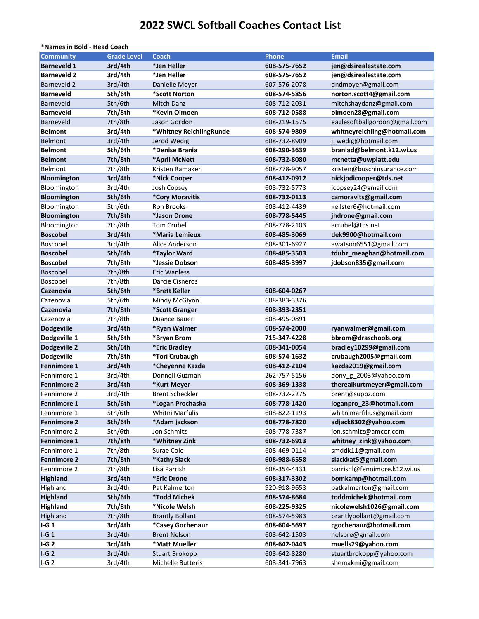## **2022 SWCL Softball Coaches Contact List**

| *Names in Bold - Head Coach |                    |                         |              |                               |  |  |  |
|-----------------------------|--------------------|-------------------------|--------------|-------------------------------|--|--|--|
| <b>Community</b>            | <b>Grade Level</b> | Coach                   | Phone        | <b>Email</b>                  |  |  |  |
| <b>Barneveld 1</b>          | 3rd/4th            | *Jen Heller             | 608-575-7652 | jen@dsirealestate.com         |  |  |  |
| <b>Barneveld 2</b>          | 3rd/4th            | *Jen Heller             | 608-575-7652 | jen@dsirealestate.com         |  |  |  |
| Barneveld 2                 | 3rd/4th            | Danielle Moyer          | 607-576-2078 | dndmoyer@gmail.com            |  |  |  |
| <b>Barneveld</b>            | 5th/6th            | *Scott Norton           | 608-574-5856 | norton.scott4@gmail.com       |  |  |  |
| Barneveld                   | 5th/6th            | Mitch Danz              | 608-712-2031 | mitchshaydanz@gmail.com       |  |  |  |
| <b>Barneveld</b>            | 7th/8th            | *Kevin Oimoen           | 608-712-0588 | oimoen28@gmail.com            |  |  |  |
| Barneveld                   | 7th/8th            | Jason Gordon            | 608-219-1575 | eaglesoftballgordon@gmail.com |  |  |  |
| <b>Belmont</b>              | 3rd/4th            | *Whitney ReichlingRunde | 608-574-9809 | whitneyreichling@hotmail.com  |  |  |  |
| <b>Belmont</b>              | 3rd/4th            | Jerod Wedig             | 608-732-8909 | j wedig@hotmail.com           |  |  |  |
| <b>Belmont</b>              | 5th/6th            | *Denise Brania          | 608-290-3639 | braniad@belmont.k12.wi.us     |  |  |  |
| <b>Belmont</b>              | 7th/8th            | *April McNett           | 608-732-8080 | mcnetta@uwplatt.edu           |  |  |  |
| Belmont                     | 7th/8th            | Kristen Ramaker         | 608-778-9057 | kristen@buschinsurance.com    |  |  |  |
| Bloomington                 | 3rd/4th            | *Nick Cooper            | 608-412-0912 | nickjodicooper@tds.net        |  |  |  |
| Bloomington                 | 3rd/4th            | Josh Copsey             | 608-732-5773 | jcopsey24@gmail.com           |  |  |  |
| Bloomington                 | 5th/6th            | *Cory Moravitis         | 608-732-0113 | camoravits@gmail.com          |  |  |  |
| Bloomington                 | 5th/6th            | <b>Ron Brooks</b>       | 608-412-4439 | kellster6@hotmail.com         |  |  |  |
| Bloomington                 | 7th/8th            | *Jason Drone            | 608-778-5445 | jhdrone@gmail.com             |  |  |  |
| Bloomington                 | 7th/8th            | <b>Tom Crubel</b>       | 608-778-2103 | acrubel@tds.net               |  |  |  |
| <b>Boscobel</b>             | 3rd/4th            | *Maria Lemieux          | 608-485-3069 | dek9900@hotmail.com           |  |  |  |
| Boscobel                    | 3rd/4th            | Alice Anderson          | 608-301-6927 | awatson6551@gmail.com         |  |  |  |
| <b>Boscobel</b>             | 5th/6th            | *Taylor Ward            | 608-485-3503 | tdubz_meaghan@hotmail.com     |  |  |  |
| <b>Boscobel</b>             | 7th/8th            | *Jessie Dobson          | 608-485-3997 | jdobson835@gmail.com          |  |  |  |
| Boscobel                    | 7th/8th            | <b>Eric Wanless</b>     |              |                               |  |  |  |
| Boscobel                    | 7th/8th            | Darcie Cisneros         |              |                               |  |  |  |
| Cazenovia                   | 5th/6th            | *Brett Keller           | 608-604-0267 |                               |  |  |  |
| Cazenovia                   | 5th/6th            | Mindy McGlynn           | 608-383-3376 |                               |  |  |  |
| Cazenovia                   | 7th/8th            | *Scott Granger          | 608-393-2351 |                               |  |  |  |
| Cazenovia                   | 7th/8th            | Duance Bauer            | 608-495-0891 |                               |  |  |  |
| <b>Dodgeville</b>           | 3rd/4th            | *Ryan Walmer            | 608-574-2000 | ryanwalmer@gmail.com          |  |  |  |
| Dodgeville 1                | 5th/6th            | *Bryan Brom             | 715-347-4228 | bbrom@draschools.org          |  |  |  |
| Dodgeville 2                | 5th/6th            | *Eric Bradley           | 608-341-0054 | bradley10299@gmail.com        |  |  |  |
| Dodgeville                  | 7th/8th            | *Tori Crubaugh          | 608-574-1632 | crubaugh2005@gmail.com        |  |  |  |
| <b>Fennimore 1</b>          | 3rd/4th            | *Cheyenne Kazda         | 608-412-2104 | kazda2019@gmail.com           |  |  |  |
| Fennimore 1                 | 3rd/4th            | Donnell Guzman          | 262-757-5156 | dony_g_2003@yahoo.com         |  |  |  |
| <b>Fennimore 2</b>          | 3rd/4th            | *Kurt Meyer             | 608-369-1338 | therealkurtmeyer@gmail.com    |  |  |  |
| Fennimore 2                 | 3rd/4th            | <b>Brent Scheckler</b>  | 608-732-2275 | brent@suppz.com               |  |  |  |
| Fennimore 1                 | 5th/6th            | *Logan Prochaska        | 608-778-1420 | loganpro_23@hotmail.com       |  |  |  |
| Fennimore 1                 | 5th/6th            | Whitni Marfulis         | 608-822-1193 | whitnimarfilius@gmail.com     |  |  |  |
| <b>Fennimore 2</b>          | 5th/6th            | *Adam jackson           | 608-778-7820 | adjack8302@yahoo.com          |  |  |  |
| Fennimore 2                 | 5th/6th            | Jon Schmitz             | 608-778-7387 | jon.schmitz@amcor.com         |  |  |  |
| Fennimore 1                 | 7th/8th            | *Whitney Zink           | 608-732-6913 | whitney_zink@yahoo.com        |  |  |  |
| Fennimore 1                 | 7th/8th            | Surae Cole              | 608-469-0114 | smddk11@gmail.com             |  |  |  |
| <b>Fennimore 2</b>          | 7th/8th            | *Kathy Slack            | 608-988-6558 | slackkat5@gmail.com           |  |  |  |
| Fennimore 2                 | 7th/8th            | Lisa Parrish            | 608-354-4431 | parrishl@fennimore.k12.wi.us  |  |  |  |
| <b>Highland</b>             | 3rd/4th            | *Eric Drone             | 608-317-3302 | bomkamp@hotmail.com           |  |  |  |
| Highland                    | 3rd/4th            | Pat Kalmerton           | 920-918-9653 | patkalmerton@gmail.com        |  |  |  |
| <b>Highland</b>             | 5th/6th            | *Todd Michek            | 608-574-8684 | toddmichek@hotmail.com        |  |  |  |
| Highland                    | 7th/8th            | *Nicole Welsh           | 608-225-9325 | nicolewelsh1026@gmail.com     |  |  |  |
| Highland                    | 7th/8th            | <b>Brantly Bollant</b>  | 608-574-5983 | brantlybollant@gmail.com      |  |  |  |
| $I-G1$                      | 3rd/4th            | *Casey Gochenaur        | 608-604-5697 | cgochenaur@hotmail.com        |  |  |  |
| $I-G1$                      | 3rd/4th            | <b>Brent Nelson</b>     | 608-642-1503 | nelsbre@gmail.com             |  |  |  |
| $I-G2$                      | 3rd/4th            | *Matt Mueller           | 608-642-0443 | muells29@yahoo.com            |  |  |  |
| IG2                         | 3rd/4th            | <b>Stuart Brokopp</b>   | 608-642-8280 | stuartbrokopp@yahoo.com       |  |  |  |
| $I-G2$                      | 3rd/4th            | Michelle Butteris       | 608-341-7963 | shemakmi@gmail.com            |  |  |  |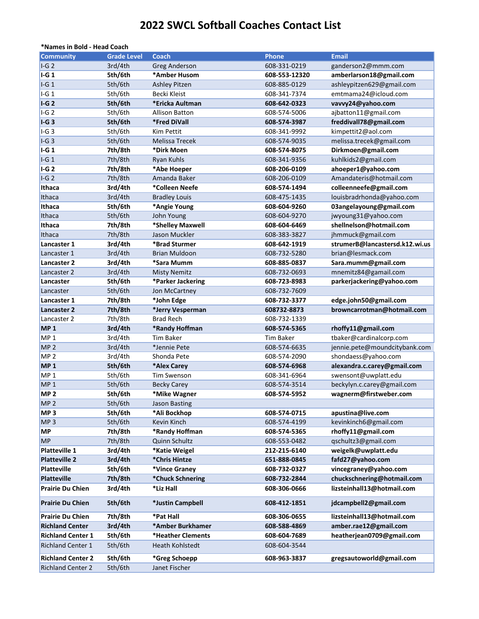## **2022 SWCL Softball Coaches Contact List**

| *Names in Bold - Head Coach |                    |                       |                  |                                |
|-----------------------------|--------------------|-----------------------|------------------|--------------------------------|
| <b>Community</b>            | <b>Grade Level</b> | <b>Coach</b>          | <b>Phone</b>     | <b>Email</b>                   |
| $I-G2$                      | 3rd/4th            | <b>Greg Anderson</b>  | 608-331-0219     | ganderson2@mmm.com             |
| $I-G1$                      | 5th/6th            | *Amber Husom          | 608-553-12320    | amberlarson18@gmail.com        |
| $I-G1$                      | 5th/6th            | <b>Ashley Pitzen</b>  | 608-885-0129     | ashleypitzen629@gmail.com      |
| $I-G1$                      | 5th/6th            | Becki Kleist          | 608-341-7374     | emtmama24@icloud.com           |
| $I-G2$                      | 5th/6th            | *Ericka Aultman       | 608-642-0323     | vavvy24@yahoo.com              |
| $I-G2$                      | 5th/6th            | <b>Allison Batton</b> | 608-574-5006     | ajbatton11@gmail.com           |
| $I-G3$                      | 5th/6th            | *Fred DiVall          | 608-574-3987     | freddivall78@gmail.com         |
| IG3                         | 5th/6th            | Kim Pettit            | 608-341-9992     | kimpettit2@aol.com             |
| $I-G3$                      | 5th/6th            | <b>Melissa Trecek</b> | 608-574-9035     | melissa.trecek@gmail.com       |
| $I-G1$                      | 7th/8th            | *Dirk Moen            | 608-574-8075     | Dirkmoen@gmail.com             |
| $I-G1$                      | 7th/8th            | <b>Ryan Kuhls</b>     | 608-341-9356     | kuhlkids2@gmail.com            |
| $I-G2$                      | 7th/8th            | *Abe Hoeper           | 608-206-0109     | ahoeper1@yahoo.com             |
| $I-G2$                      | 7th/8th            | Amanda Baker          | 608-206-0109     | Amandateris@hotmail.com        |
| Ithaca                      | 3rd/4th            | *Colleen Neefe        | 608-574-1494     | colleenneefe@gmail.com         |
| Ithaca                      | 3rd/4th            | <b>Bradley Louis</b>  | 608-475-1435     | louisbradrhonda@yahoo.com      |
| Ithaca                      | 5th/6th            | *Angie Young          | 608-604-9260     | 03angelayoung@gmail.com        |
| Ithaca                      | 5th/6th            | John Young            | 608-604-9270     | jwyoung31@yahoo.com            |
| Ithaca                      | 7th/8th            | *Shelley Maxwell      | 608-604-6469     | shellnelson@hotmail.com        |
| Ithaca                      | 7th/8th            | Jason Muckler         | 608-383-3827     | jhmmuck@gmail.com              |
| Lancaster 1                 | 3rd/4th            | *Brad Sturmer         | 608-642-1919     | strumerB@lancastersd.k12.wi.us |
| Lancaster 1                 | 3rd/4th            | <b>Brian Muldoon</b>  | 608-732-5280     | brian@lesmack.com              |
| Lancaster 2                 | 3rd/4th            | *Sara Mumm            | 608-885-0837     | Sara.mumm@gmail.com            |
| Lancaster 2                 | 3rd/4th            | <b>Misty Nemitz</b>   | 608-732-0693     | mnemitz84@gamail.com           |
| Lancaster                   | 5th/6th            | *Parker Jackering     | 608-723-8983     | parkerjackering@yahoo.com      |
| Lancaster                   | 5th/6th            | Jon McCartney         | 608-732-7609     |                                |
| Lancaster 1                 | 7th/8th            | *John Edge            | 608-732-3377     | edge.john50@gmail.com          |
| Lancaster 2                 | 7th/8th            | *Jerry Vesperman      | 608732-8873      | browncarrotman@hotmail.com     |
| Lancaster 2                 | 7th/8th            | <b>Brad Rech</b>      | 608-732-1339     |                                |
| <b>MP1</b>                  | 3rd/4th            | *Randy Hoffman        | 608-574-5365     | rhoffy11@gmail.com             |
| MP <sub>1</sub>             | 3rd/4th            | <b>Tim Baker</b>      | <b>Tim Baker</b> | tbaker@cardinalcorp.com        |
| MP <sub>2</sub>             | 3rd/4th            | *Jennie Pete          | 608-574-6635     | jennie.pete@moundcitybank.com  |
| MP <sub>2</sub>             | 3rd/4th            | Shonda Pete           | 608-574-2090     | shondaess@yahoo.com            |
| <b>MP1</b>                  | 5th/6th            | *Alex Carey           | 608-574-6968     | alexandra.c.carey@gmail.com    |
| MP <sub>1</sub>             | 5th/6th            | Tim Swenson           | 608-341-6964     | swensont@uwplatt.edu           |
| MP <sub>1</sub>             | 5th/6th            | <b>Becky Carey</b>    | 608-574-3514     | beckylyn.c.carey@gmail.com     |
| MP <sub>2</sub>             | 5th/6th            | *Mike Wagner          | 608-574-5952     | wagnerm@firstweber.com         |
| MP <sub>2</sub>             | 5th/6th            | <b>Jason Basting</b>  |                  |                                |
| MP <sub>3</sub>             | 5th/6th            | *Ali Bockhop          | 608-574-0715     | apustina@live.com              |
| MP <sub>3</sub>             | 5th/6th            | Kevin Kinch           | 608-574-4199     | kevinkinch6@gmail.com          |
| <b>MP</b>                   | 7th/8th            | *Randy Hoffman        | 608-574-5365     | rhoffy11@gmail.com             |
| <b>MP</b>                   | 7th/8th            | Quinn Schultz         | 608-553-0482     | qschultz3@gmail.com            |
| Platteville 1               | 3rd/4th            | *Katie Weigel         | 212-215-6140     | weigelk@uwplatt.edu            |
| <b>Platteville 2</b>        | 3rd/4th            | *Chris Hintze         | 651-888-0845     | fafd27@yahoo.com               |
| <b>Platteville</b>          | 5th/6th            | *Vince Graney         | 608-732-0327     | vincegraney@yahoo.com          |
| <b>Platteville</b>          | 7th/8th            | *Chuck Schnering      | 608-732-2844     | chuckschnering@hotmail.com     |
| Prairie Du Chien            | 3rd/4th            | *Liz Hall             | 608-306-0666     | lizsteinhall13@hotmail.com     |
| Prairie Du Chien            | 5th/6th            | *Justin Campbell      | 608-412-1851     | jdcampbell2@gmail.com          |
| <b>Prairie Du Chien</b>     | 7th/8th            | *Pat Hall             | 608-306-0655     | lizsteinhall13@hotmail.com     |
| <b>Richland Center</b>      | 3rd/4th            | *Amber Burkhamer      | 608-588-4869     | amber.rae12@gmail.com          |
| <b>Richland Center 1</b>    | 5th/6th            | *Heather Clements     | 608-604-7689     | heatherjean0709@gmail.com      |
| <b>Richland Center 1</b>    | 5th/6th            | Heath Kohlstedt       | 608-604-3544     |                                |
| <b>Richland Center 2</b>    | 5th/6th            | *Greg Schoepp         | 608-963-3837     | gregsautoworld@gmail.com       |
| <b>Richland Center 2</b>    | 5th/6th            | Janet Fischer         |                  |                                |